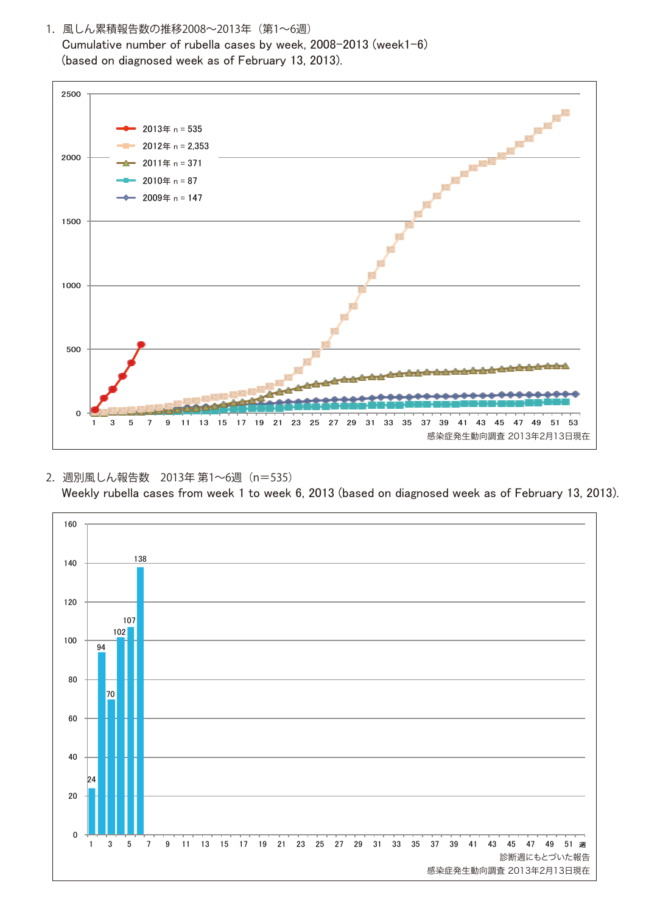1. 風しん累積報告数の推移2008~2013年 (第1~6週) Cumulative number of rubella cases by week, 2008-2013 (week1-6) (based on diagnosed week as of February 13, 2013).



## 2. 週別風しん報告数 2013年 第1~6週 (n=535) Weekly rubella cases from week 1 to week 6, 2013 (based on diagnosed week as of February 13, 2013).

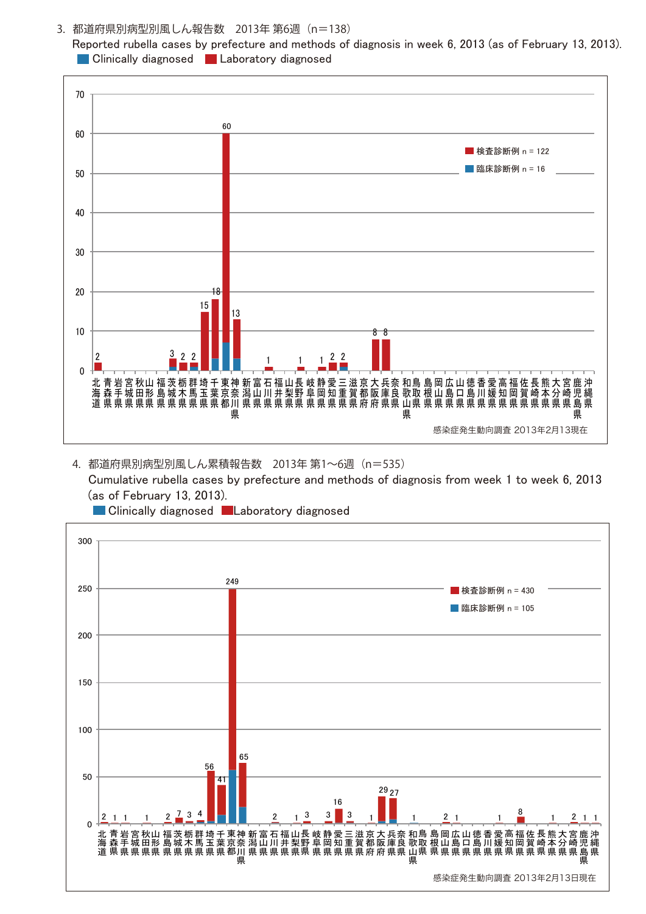3. 都道府県別病型別風しん報告数 2013年 第6週 (n=138) Reported rubella cases by prefecture and methods of diagnosis in week 6, 2013 (as of February 13, 2013). **Laboratory diagnosed Laboratory diagnosed** 



4. 都道府県別病型別風しん累積報告数 2013年 第1~6週 (n=535) Cumulative rubella cases by prefecture and methods of diagnosis from week 1 to week 6, 2013 (as of February 13, 2013).



**Clinically diagnosed Laboratory diagnosed**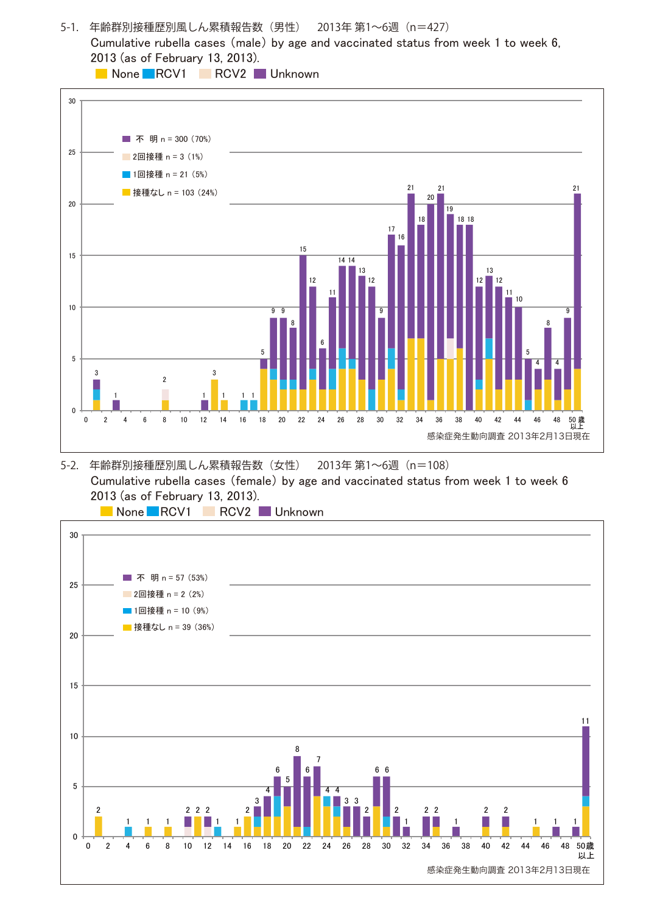5-1. 年齢群別接種歴別風しん累積報告数 (男性) 2013年 第1~6週 (n=427) Cumulative rubella cases (male) by age and vaccinated status from week 1 to week 6, 2013 (as of February 13, 2013).

**None RCV1 RCV2** Unknown



## 5-2. 年齢群別接種歴別風しん累積報告数 (女性) 2013年 第1~6週 (n=108) Cumulative rubella cases (female) by age and vaccinated status from week 1 to week 6 2013 (as of February 13, 2013).

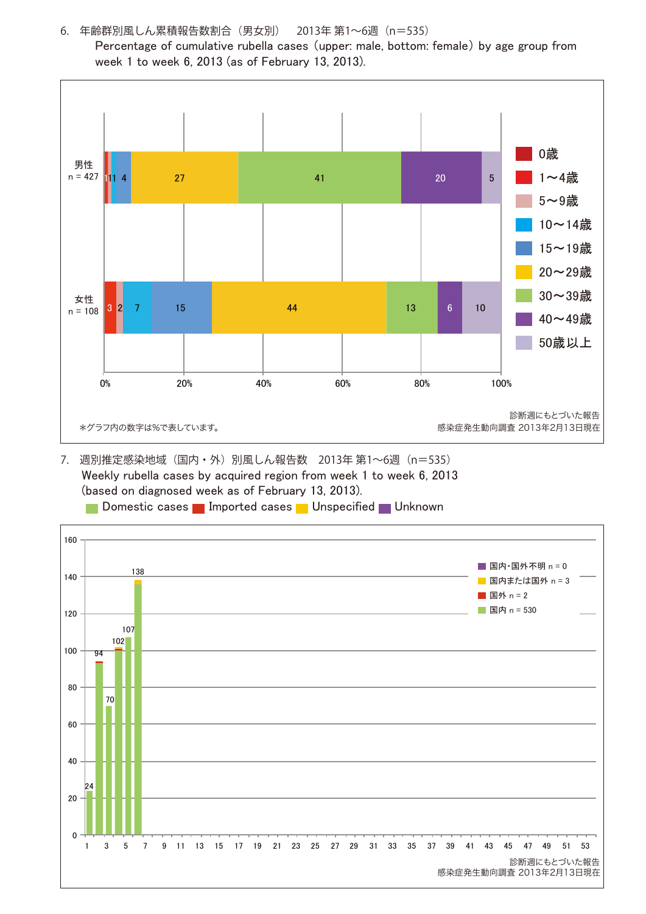

6. 年齢群別風しん累積報告数割合(男女別) 2013年 第1~6週(n=535)

 Percentage of cumulative rubella cases (upper: male, bottom: female) by age group from week 1 to week 6, 2013 (as of February 13, 2013).

7. 週別推定感染地域(国内・外)別風しん報告数 2013年 第1~6週(n=535) Weekly rubella cases by acquired region from week 1 to week 6, 2013 (based on diagnosed week as of February 13, 2013).

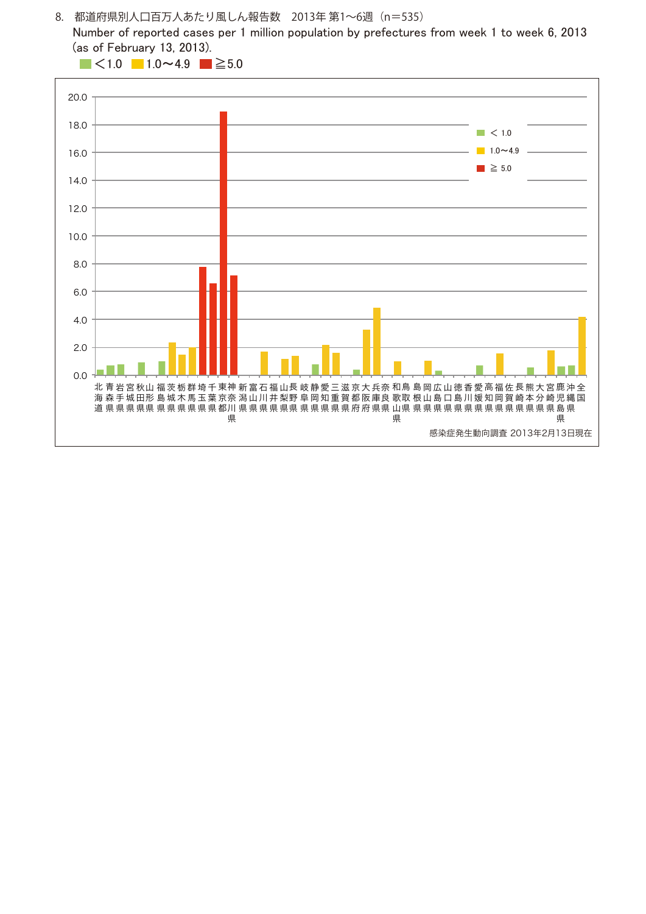8. 都道府県別人口百万人あたり風しん報告数 2013年 第1~6週(n=535)

 Number of reported cases per 1 million population by prefectures from week 1 to week 6, 2013 (as of February 13, 2013).

 $\blacksquare$  <1.0  $\blacksquare$  1.0 ~ 4.9  $\blacksquare$  ≥ 5.0